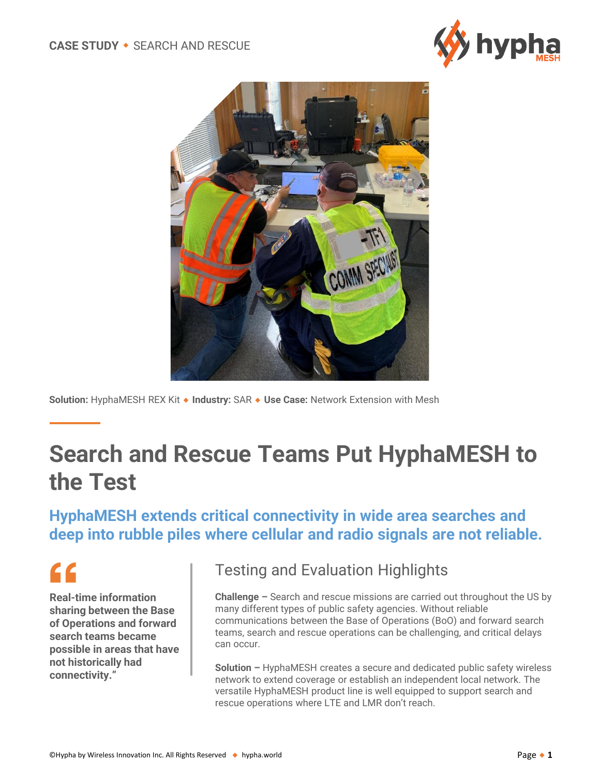



**Solution:** HyphaMESH REX Kit ◆ Industry: SAR ◆ Use Case: Network Extension with Mesh

# **Search and Rescue Teams Put HyphaMESH to the Test**

#### **HyphaMESH extends critical connectivity in wide area searches and deep into rubble piles where cellular and radio signals are not reliable.**

# $\epsilon$

**Real-time information sharing between the Base of Operations and forward search teams became possible in areas that have not historically had connectivity."**

#### Testing and Evaluation Highlights

**Challenge –** Search and rescue missions are carried out throughout the US by many different types of public safety agencies. Without reliable communications between the Base of Operations (BoO) and forward search teams, search and rescue operations can be challenging, and critical delays can occur.

**Solution –** HyphaMESH creates a secure and dedicated public safety wireless network to extend coverage or establish an independent local network. The versatile HyphaMESH product line is well equipped to support search and rescue operations where LTE and LMR don't reach.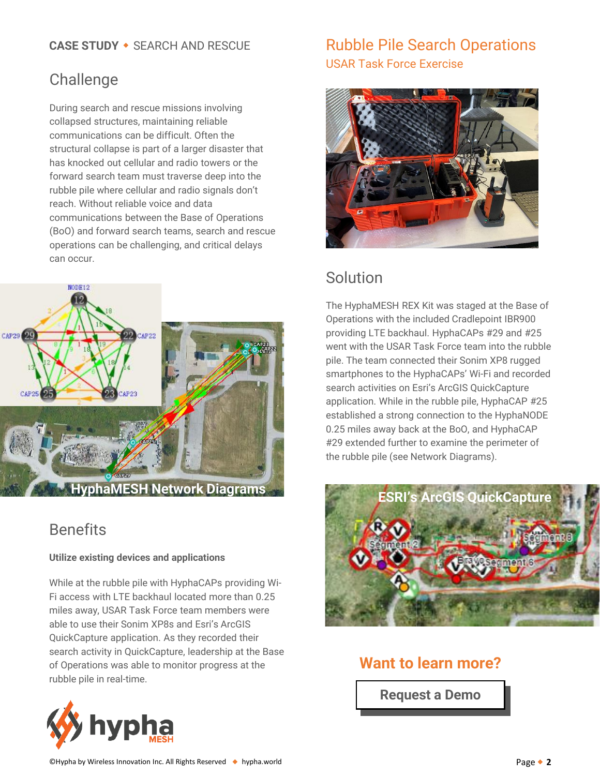#### **CASE STUDY • SEARCH AND RESCUE**

## Challenge

During search and rescue missions involving collapsed structures, maintaining reliable communications can be difficult. Often the structural collapse is part of a larger disaster that has knocked out cellular and radio towers or the forward search team must traverse deep into the rubble pile where cellular and radio signals don't reach. Without reliable voice and data communications between the Base of Operations (BoO) and forward search teams, search and rescue operations can be challenging, and critical delays can occur.



## **Benefits**

#### **Utilize existing devices and applications**

While at the rubble pile with HyphaCAPs providing Wi-Fi access with LTE backhaul located more than 0.25 miles away, USAR Task Force team members were able to use their Sonim XP8s and Esri's ArcGIS QuickCapture application. As they recorded their search activity in QuickCapture, leadership at the Base of Operations was able to monitor progress at the rubble pile in real-time.



# Rubble Pile Search Operations USAR Task Force Exercise



## Solution

The HyphaMESH REX Kit was staged at the Base of Operations with the included Cradlepoint IBR900 providing LTE backhaul. HyphaCAPs #29 and #25 went with the USAR Task Force team into the rubble pile. The team connected their Sonim XP8 rugged smartphones to the HyphaCAPs' Wi-Fi and recorded search activities on Esri's ArcGIS QuickCapture application. While in the rubble pile, HyphaCAP #25 established a strong connection to the HyphaNODE 0.25 miles away back at the BoO, and HyphaCAP #29 extended further to examine the perimeter of the rubble pile (see Network Diagrams).



#### **Want to learn more?**

**[Request a Demo](https://us.hypha.world/demo-request)**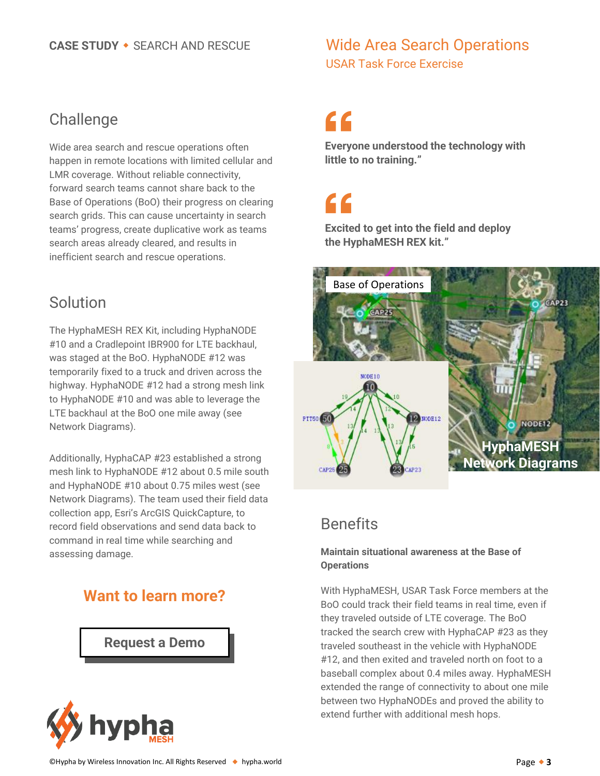#### **CASE STUDY • SEARCH AND RESCUE**

## Wide Area Search Operations USAR Task Force Exercise

#### **Challenge**

Wide area search and rescue operations often happen in remote locations with limited cellular and LMR coverage. Without reliable connectivity, forward search teams cannot share back to the Base of Operations (BoO) their progress on clearing search grids. This can cause uncertainty in search teams' progress, create duplicative work as teams search areas already cleared, and results in inefficient search and rescue operations.

# Solution

The HyphaMESH REX Kit, including HyphaNODE #10 and a Cradlepoint IBR900 for LTE backhaul, was staged at the BoO. HyphaNODE #12 was temporarily fixed to a truck and driven across the highway. HyphaNODE #12 had a strong mesh link to HyphaNODE #10 and was able to leverage the LTE backhaul at the BoO one mile away (see Network Diagrams).

Additionally, HyphaCAP #23 established a strong mesh link to HyphaNODE #12 about 0.5 mile south and HyphaNODE #10 about 0.75 miles west (see Network Diagrams). The team used their field data collection app, Esri's ArcGIS QuickCapture, to record field observations and send data back to command in real time while searching and assessing damage.

# **Want to learn more?**

**[Request a Demo](https://us.hypha.world/demo-request)**



# "

**Everyone understood the technology with little to no training."** 

# "

**Excited to get into the field and deploy the HyphaMESH REX kit."**



# **Benefits**

#### **Maintain situational awareness at the Base of Operations**

With HyphaMESH, USAR Task Force members at the BoO could track their field teams in real time, even if they traveled outside of LTE coverage. The BoO tracked the search crew with HyphaCAP #23 as they traveled southeast in the vehicle with HyphaNODE #12, and then exited and traveled north on foot to a baseball complex about 0.4 miles away. HyphaMESH extended the range of connectivity to about one mile between two HyphaNODEs and proved the ability to extend further with additional mesh hops.